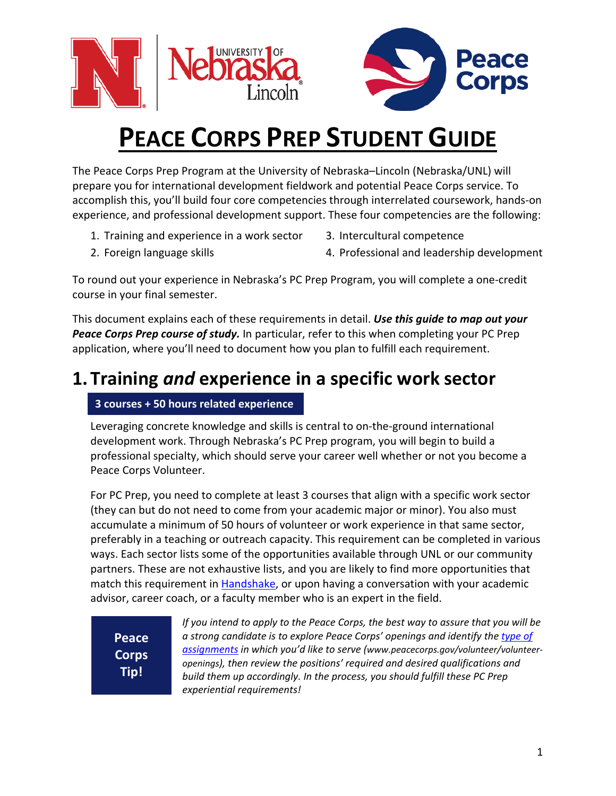



# **PEACE CORPS PREP STUDENT GUIDE**

The Peace Corps Prep Program at the University of Nebraska–Lincoln (Nebraska/UNL) will prepare you for international development fieldwork and potential Peace Corps service. To accomplish this, you'll build four core competencies through interrelated coursework, hands-on experience, and professional development support. These four competencies are the following:

- 1. Training and experience in a work sector
- 3. Intercultural competence

2. Foreign language skills

4. Professional and leadership development

To round out your experience in Nebraska's PC Prep Program, you will complete a one-credit course in your final semester.

This document explains each of these requirements in detail. *Use this guide to map out your Peace Corps Prep course of study.* In particular, refer to this when completing your PC Prep application, where you'll need to document how you plan to fulfill each requirement.

# **1. Training** *and* **experience in a specific work sector**

### **3 courses + 50 hours related experience**

Leveraging concrete knowledge and skills is central to on-the-ground international development work. Through Nebraska's PC Prep program, you will begin to build a professional specialty, which should serve your career well whether or not you become a Peace Corps Volunteer.

For PC Prep, you need to complete at least 3 courses that align with a specific work sector (they can but do not need to come from your academic major or minor). You also must accumulate a minimum of 50 hours of volunteer or work experience in that same sector, preferably in a teaching or outreach capacity. This requirement can be completed in various ways. Each sector lists some of the opportunities available through UNL or our community partners. These are not exhaustive lists, and you are likely to find more opportunities that match this requirement in [Handshake,](https://careers.unl.edu/resources/welcome-to-handshake-at-unl/) or upon having a conversation with your academic advisor, career coach, or a faculty member who is an expert in the field.

**Peace Corps Tip!**

*If you intend to apply to the Peace Corps, the best way to assure that you will be a strong candidate is to explore Peace Corps' openings and identify th[e type of](http://www.peacecorps.gov/volunteer/volunteer-openings/)  [assignments](http://www.peacecorps.gov/volunteer/volunteer-openings/) in which you'd like to serve (www.peacecorps.gov/volunteer/volunteeropenings), then review the positions' required and desired qualifications and build them up accordingly. In the process, you should fulfill these PC Prep experiential requirements!*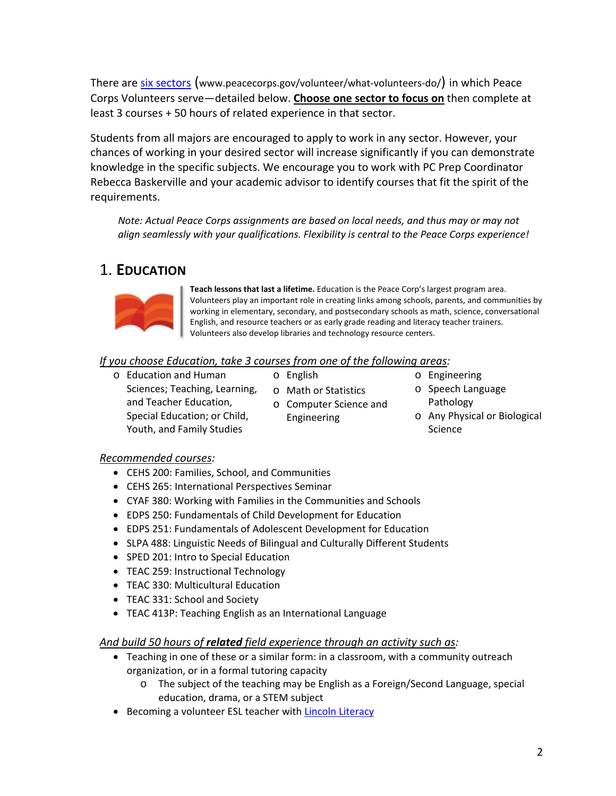There are [six sectors](https://www.peacecorps.gov/volunteer/what-volunteers-do/) [\(www.peacecorps.gov/volunteer/what-volunteers-do/\)](http://www.peacecorps.gov/volunteer/what-volunteers-do/) in which Peace Corps Volunteers serve—detailed below. **Choose one sector to focus on** then complete at least 3 courses + 50 hours of related experience in that sector.

Students from all majors are encouraged to apply to work in any sector. However, your chances of working in your desired sector will increase significantly if you can demonstrate knowledge in the specific subjects. We encourage you to work with PC Prep Coordinator Rebecca Baskerville and your academic advisor to identify courses that fit the spirit of the requirements.

*Note: Actual Peace Corps assignments are based on local needs, and thus may or may not align seamlessly with your qualifications. Flexibility is central to the Peace Corps experience!*

### 1. **EDUCATION**



**Teach lessons that last a lifetime.** Education is the Peace Corp's largest program area. Volunteers play an important role in creating links among schools, parents, and communities by working in elementary, secondary, and postsecondary schools as math, science, conversational English, and resource teachers or as early grade reading and literacy teacher trainers. Volunteers also develop libraries and technology resource centers.

#### *If you choose Education, take 3 courses from one of the following areas:*

- o Education and Human Sciences; Teaching, Learning, and Teacher Education, Special Education; or Child, Youth, and Family Studies
- o English

o Math or Statistics o Computer Science and

Engineering

- o Engineering
- o Speech Language Pathology
- o Any Physical or Biological Science

#### *Recommended courses:*

- CEHS 200: Families, School, and Communities
- CEHS 265: International Perspectives Seminar
- CYAF 380: Working with Families in the Communities and Schools
- EDPS 250: Fundamentals of Child Development for Education
- EDPS 251: Fundamentals of Adolescent Development for Education
- SLPA 488: Linguistic Needs of Bilingual and Culturally Different Students
- SPED 201: Intro to Special Education
- TEAC 259: Instructional Technology
- TEAC 330: Multicultural Education
- TEAC 331: School and Society
- TEAC 413P: Teaching English as an International Language

#### *And build 50 hours of related field experience through an activity such as:*

- Teaching in one of these or a similar form: in a classroom, with a community outreach organization, or in a formal tutoring capacity
	- o The subject of the teaching may be English as a Foreign/Second Language, special education, drama, or a STEM subject
- Becoming a volunteer ESL teacher with **Lincoln Literacy**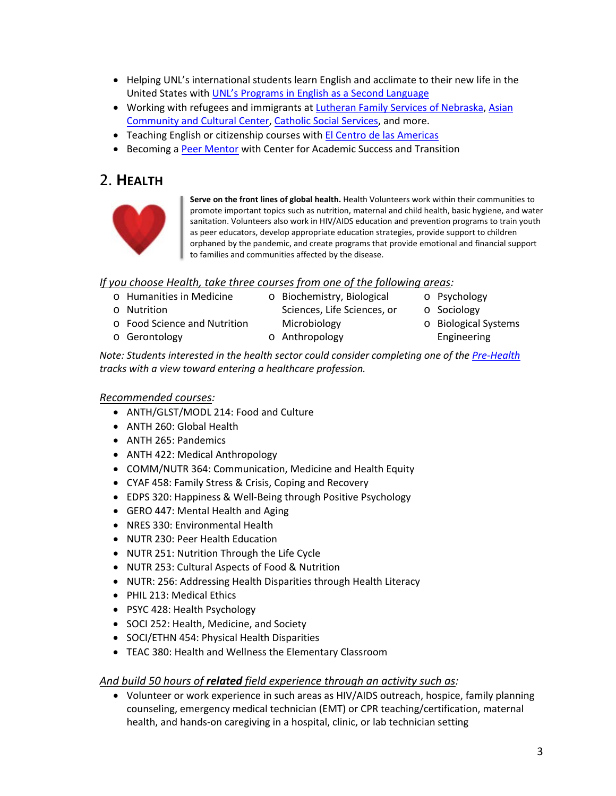- Helping UNL's international students learn English and acclimate to their new life in the United States with UNL's [Programs in English as a Second Language](https://sgis.unl.edu/piesl-internship)
- Working with refugees and immigrants at [Lutheran Family Services of Nebraska,](https://www.lfsneb.org/get-involved/) [Asian](https://www.lincolnasiancenter.org/)  [Community and Cultural Center,](https://www.lincolnasiancenter.org/) [Catholic Social Services,](https://www.cssisus.org/) and more.
- Teaching English or citizenship courses with [El Centro de las Americas](http://www.elcentrone.org/)
- Becoming a [Peer Mentor](https://success.unl.edu/peer-mentors) with Center for Academic Success and Transition

### 2. **HEALTH**



**Serve on the front lines of global health.** Health Volunteers work within their communities to promote important topics such as nutrition, maternal and child health, basic hygiene, and water sanitation. Volunteers also work in HIV/AIDS education and prevention programs to train youth as peer educators, develop appropriate education strategies, provide support to children orphaned by the pandemic, and create programs that provide emotional and financial support to families and communities affected by the disease.

#### *If you choose Health, take three courses from one of the following areas:*

| o Humanities in Medicine     | o Biochemistry, Biological  | o Psychology         |
|------------------------------|-----------------------------|----------------------|
| o Nutrition                  | Sciences, Life Sciences, or | o Sociology          |
| o Food Science and Nutrition | Microbiology                | o Biological Systems |
| o Gerontology                | o Anthropology              | Engineering          |
|                              |                             |                      |

*Note: Students interested in the health sector could consider completing one of the [Pre-Health](https://explorecenter.unl.edu/pre-health) tracks with a view toward entering a healthcare profession.*

#### *Recommended courses:*

- ANTH/GLST/MODL 214: Food and Culture
- ANTH 260: Global Health
- ANTH 265: Pandemics
- ANTH 422: Medical Anthropology
- COMM/NUTR 364: Communication, Medicine and Health Equity
- CYAF 458: Family Stress & Crisis, Coping and Recovery
- EDPS 320: Happiness & Well-Being through Positive Psychology
- GERO 447: Mental Health and Aging
- NRES 330: Environmental Health
- NUTR 230: Peer Health Education
- NUTR 251: Nutrition Through the Life Cycle
- NUTR 253: Cultural Aspects of Food & Nutrition
- NUTR: 256: Addressing Health Disparities through Health Literacy
- PHIL 213: Medical Ethics
- PSYC 428: Health Psychology
- SOCI 252: Health, Medicine, and Society
- SOCI/ETHN 454: Physical Health Disparities
- TEAC 380: Health and Wellness the Elementary Classroom

#### *And build 50 hours of related field experience through an activity such as:*

• Volunteer or work experience in such areas as HIV/AIDS outreach, hospice, family planning counseling, emergency medical technician (EMT) or CPR teaching/certification, maternal health, and hands-on caregiving in a hospital, clinic, or lab technician setting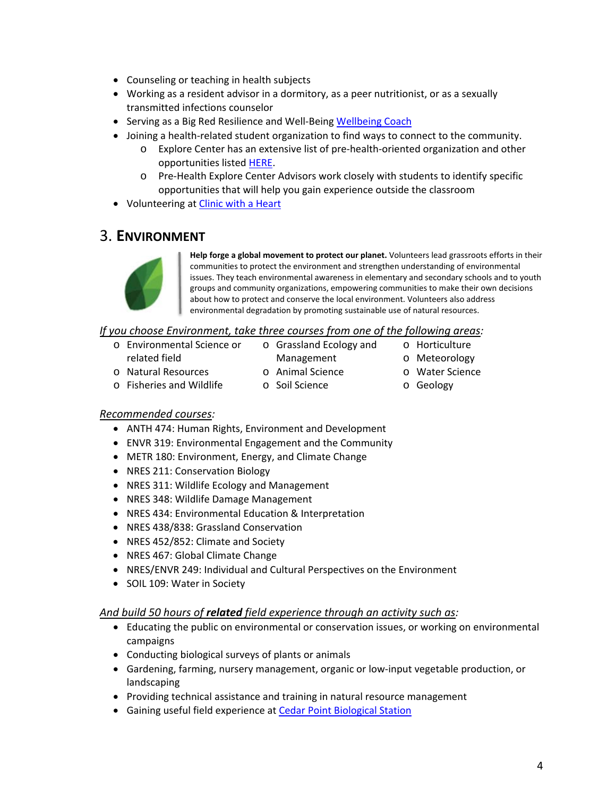- Counseling or teaching in health subjects
- Working as a resident advisor in a dormitory, as a peer nutritionist, or as a sexually transmitted infections counselor
- Serving as a Big Red Resilience and Well-Bein[g Wellbeing Coach](https://resilience.unl.edu/peer-coaches)
- Joining a health-related student organization to find ways to connect to the community.
	- o Explore Center has an extensive list of pre-health-oriented organization and other opportunities listed [HERE.](https://explorecenter.unl.edu/pre-health/beyond-academics-health)
	- o Pre-Health Explore Center Advisors work closely with students to identify specific opportunities that will help you gain experience outside the classroom
- Volunteering at [Clinic with a Heart](https://www.clinicwithaheart.org/)

### 3. **ENVIRONMENT**



**Help forge a global movement to protect our planet.** Volunteers lead grassroots efforts in their communities to protect the environment and strengthen understanding of environmental issues. They teach environmental awareness in elementary and secondary schools and to youth groups and community organizations, empowering communities to make their own decisions about how to protect and conserve the local environment. Volunteers also address environmental degradation by promoting sustainable use of natural resources.

#### *If you choose Environment, take three courses from one of the following areas:*

- o Environmental Science or related field
- Management o Animal Science
- o Horticulture o Meteorology
- o Water Science
- o Natural Resources o Fisheries and Wildlife
- o Soil Science

o Grassland Ecology and

o Geology

#### *Recommended courses:*

- ANTH 474: Human Rights, Environment and Development
- ENVR 319: Environmental Engagement and the Community
- METR 180: Environment, Energy, and Climate Change
- NRES 211: Conservation Biology
- NRES 311: Wildlife Ecology and Management
- NRES 348: Wildlife Damage Management
- NRES 434: Environmental Education & Interpretation
- NRES 438/838: Grassland Conservation
- NRES 452/852: Climate and Society
- NRES 467: Global Climate Change
- NRES/ENVR 249: Individual and Cultural Perspectives on the Environment
- SOIL 109: Water in Society

#### *And build 50 hours of related field experience through an activity such as:*

- Educating the public on environmental or conservation issues, or working on environmental campaigns
- Conducting biological surveys of plants or animals
- Gardening, farming, nursery management, organic or low-input vegetable production, or landscaping
- Providing technical assistance and training in natural resource management
- Gaining useful field experience at [Cedar Point Biological Station](https://cedarpoint.unl.edu/)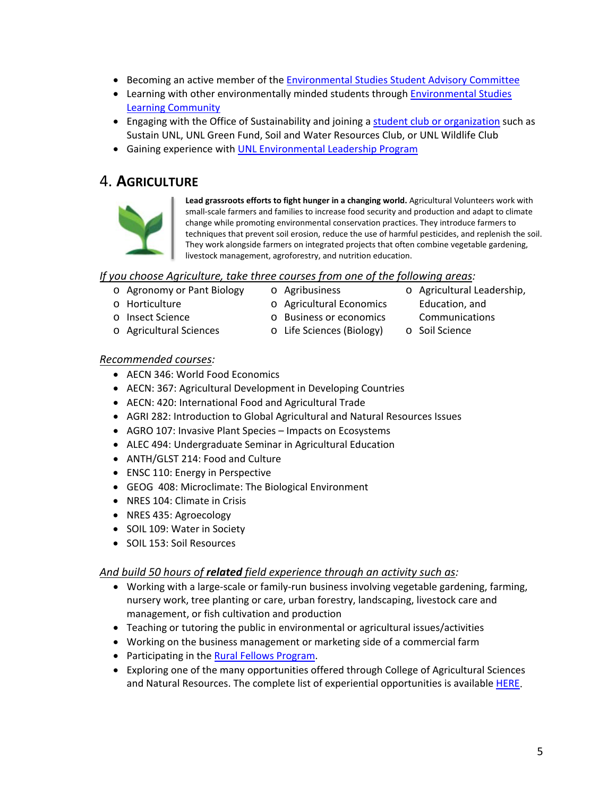- Becoming an active member of the [Environmental Studies Student Advisory Committee](https://esp.unl.edu/student-advisory-committee)
- Learning with other environmentally minded students through [Environmental Studies](https://learncom.unl.edu/firstyear/ecoleaders)  [Learning Community](https://learncom.unl.edu/firstyear/ecoleaders)
- Engaging with the Office of Sustainability and joining a [student club or organization](https://sustainability.unl.edu/student-leadership) such as Sustain UNL, UNL Green Fund, Soil and Water Resources Club, or UNL Wildlife Club
- Gaining experience with [UNL Environmental Leadership Program](https://asun.unl.edu/committees/environmental-leadership)

### 4. **AGRICULTURE**



**Lead grassroots efforts to fight hunger in a changing world.** Agricultural Volunteers work with small-scale farmers and families to increase food security and production and adapt to climate change while promoting environmental conservation practices. They introduce farmers to techniques that prevent soil erosion, reduce the use of harmful pesticides, and replenish the soil. They work alongside farmers on integrated projects that often combine vegetable gardening, livestock management, agroforestry, and nutrition education.

#### *If you choose Agriculture, take three courses from one of the following areas:*

- o Agronomy or Pant Biology
- o Agribusiness
- o Horticulture
- o Insect Science
- o Agricultural Sciences
- o Agricultural Economics o Business or economics
- Education, and Communications

o Agricultural Leadership,

o Life Sciences (Biology) o Soil Science

#### *Recommended courses:*

- AECN 346: World Food Economics
- AECN: 367: Agricultural Development in Developing Countries
- AECN: 420: International Food and Agricultural Trade
- AGRI 282: Introduction to Global Agricultural and Natural Resources Issues
- AGRO 107: Invasive Plant Species Impacts on Ecosystems
- ALEC 494: Undergraduate Seminar in Agricultural Education
- ANTH/GLST 214: Food and Culture
- ENSC 110: Energy in Perspective
- GEOG 408: Microclimate: The Biological Environment
- NRES 104: Climate in Crisis
- NRES 435: Agroecology
- SOIL 109: Water in Society
- SOIL 153: Soil Resources

#### *And build 50 hours of related field experience through an activity such as:*

- Working with a large-scale or family-run business involving vegetable gardening, farming, nursery work, tree planting or care, urban forestry, landscaping, livestock care and management, or fish cultivation and production
- Teaching or tutoring the public in environmental or agricultural issues/activities
- Working on the business management or marketing side of a commercial farm
- Participating in the **Rural Fellows Program**.
- Exploring one of the many opportunities offered through College of Agricultural Sciences and Natural Resources. The complete list of experiential opportunities is available [HERE.](https://casnr.unl.edu/experiential-learning)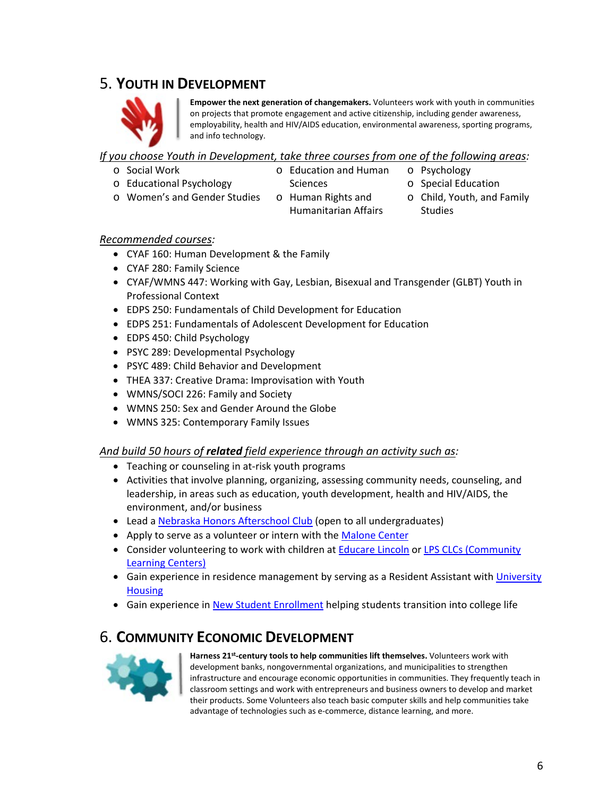## 5. **YOUTH IN DEVELOPMENT**



**Empower the next generation of changemakers.** Volunteers work with youth in communities on projects that promote engagement and active citizenship, including gender awareness, employability, health and HIV/AIDS education, environmental awareness, sporting programs, and info technology.

#### *If you choose Youth in Development, take three courses from one of the following areas:*

- o Social Work
- 
- o Educational Psychology
- o Education and Human **Sciences**
- o Psychology
- o Special Education
- o Women's and Gender Studies
- o Human Rights and Humanitarian Affairs
- o Child, Youth, and Family Studies

- *Recommended courses:*
	- CYAF 160: Human Development & the Family
	- CYAF 280: Family Science
	- CYAF/WMNS 447: Working with Gay, Lesbian, Bisexual and Transgender (GLBT) Youth in Professional Context
	- EDPS 250: Fundamentals of Child Development for Education
	- EDPS 251: Fundamentals of Adolescent Development for Education
	- EDPS 450: Child Psychology
	- PSYC 289: Developmental Psychology
	- PSYC 489: Child Behavior and Development
	- THEA 337: Creative Drama: Improvisation with Youth
	- WMNS/SOCI 226: Family and Society
	- WMNS 250: Sex and Gender Around the Globe
	- WMNS 325: Contemporary Family Issues

#### *And build 50 hours of related field experience through an activity such as:*

- Teaching or counseling in at-risk youth programs
- Activities that involve planning, organizing, assessing community needs, counseling, and leadership, in areas such as education, youth development, health and HIV/AIDS, the environment, and/or business
- Lead a [Nebraska Honors Afterschool Club](https://honors.unl.edu/experiences/clubs) (open to all undergraduates)
- Apply to serve as a volunteer or intern with the [Malone Center](https://malonecenter.org/)
- Consider volunteering to work with children a[t Educare Lincoln](https://www.educareschools.org/schools/lincoln-ne/) or LPS CLCs (Community [Learning Centers\)](https://clc.lps.org/)
- Gain experience in residence management by serving as a Resident Assistant with [University](https://housing.unl.edu/)  **[Housing](https://housing.unl.edu/)**
- Gain experience in [New Student Enrollment](https://nse.unl.edu/) helping students transition into college life

# **6. COMMUNITY ECONOMIC DEVELOPMENT**<br>Harness 21<sup>st</sup>-century tools to help communities lift themselves. Volunteers work with



development banks, nongovernmental organizations, and municipalities to strengthen infrastructure and encourage economic opportunities in communities. They frequently teach in classroom settings and work with entrepreneurs and business owners to develop and market their products. Some Volunteers also teach basic computer skills and help communities take advantage of technologies such as e-commerce, distance learning, and more.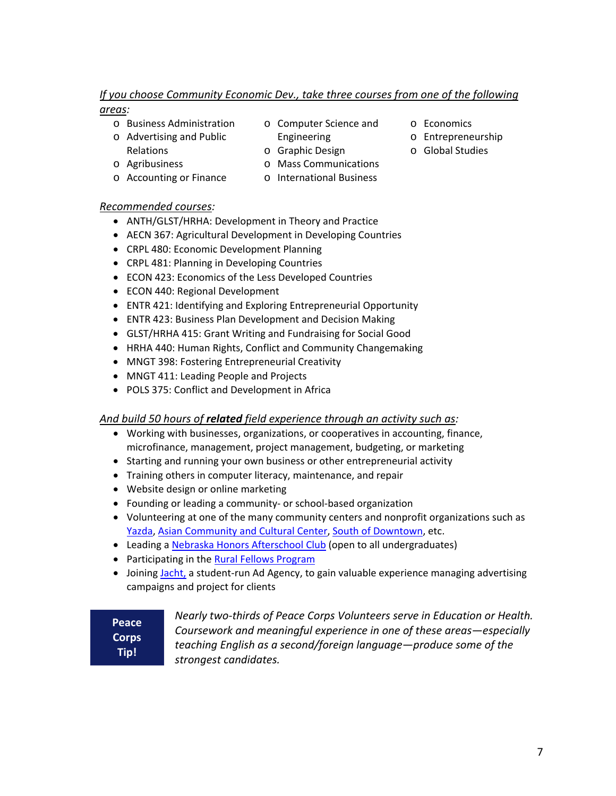#### *If you choose Community Economic Dev., take three courses from one of the following*

#### *areas:*

- o Business Administration
- o Advertising and Public Relations

o Accounting or Finance

- 
- o Computer Science and Engineering
- o Graphic Design
- o Agribusiness
- o Mass Communications
- o International Business

#### *Recommended courses:*

- ANTH/GLST/HRHA: Development in Theory and Practice
- AECN 367: Agricultural Development in Developing Countries
- CRPL 480: Economic Development Planning
- CRPL 481: Planning in Developing Countries
- ECON 423: Economics of the Less Developed Countries
- ECON 440: Regional Development
- ENTR 421: Identifying and Exploring Entrepreneurial Opportunity
- ENTR 423: Business Plan Development and Decision Making
- GLST/HRHA 415: Grant Writing and Fundraising for Social Good
- HRHA 440: Human Rights, Conflict and Community Changemaking
- MNGT 398: Fostering Entrepreneurial Creativity
- MNGT 411: Leading People and Projects
- POLS 375: Conflict and Development in Africa

#### *And build 50 hours of related field experience through an activity such as:*

- Working with businesses, organizations, or cooperatives in accounting, finance, microfinance, management, project management, budgeting, or marketing
- Starting and running your own business or other entrepreneurial activity
- Training others in computer literacy, maintenance, and repair
- Website design or online marketing
- Founding or leading a community- or school-based organization
- Volunteering at one of the many community centers and nonprofit organizations such as [Yazda,](http://yazda.org/) [Asian Community and Cultural Center,](https://www.lincolnasiancenter.org/) [South of Downtown,](https://lincolnsouthdowntown.org/) etc.
- Leading a [Nebraska Honors Afterschool Club](https://honors.unl.edu/experiences/clubs) (open to all undergraduates)
- Participating in the [Rural Fellows Program](https://ruralprosperityne.unl.edu/rural-fellows)
- Joining [Jacht,](https://www.jacht.agency/) a student-run Ad Agency, to gain valuable experience managing advertising campaigns and project for clients

**Peace Corps Tip!**

*Nearly two-thirds of Peace Corps Volunteers serve in Education or Health. Coursework and meaningful experience in one of these areas—especially teaching English as a second/foreign language—produce some of the strongest candidates.*

- o Economics
- o Entrepreneurship
- o Global Studies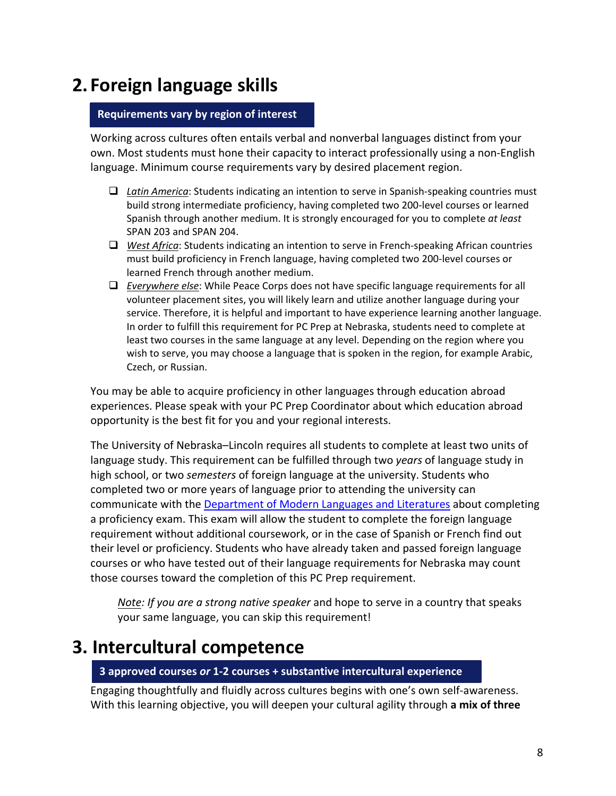# **2. Foreign language skills**

#### **Requirements vary by region of interest**

Working across cultures often entails verbal and nonverbal languages distinct from your own. Most students must hone their capacity to interact professionally using a non-English language. Minimum course requirements vary by desired placement region.

- *Latin America*: Students indicating an intention to serve in Spanish-speaking countries must build strong intermediate proficiency, having completed two 200-level courses or learned Spanish through another medium. It is strongly encouraged for you to complete *at least* SPAN 203 and SPAN 204.
- *West Africa*: Students indicating an intention to serve in French-speaking African countries must build proficiency in French language, having completed two 200-level courses or learned French through another medium.
- *Everywhere else*: While Peace Corps does not have specific language requirements for all volunteer placement sites, you will likely learn and utilize another language during your service. Therefore, it is helpful and important to have experience learning another language. In order to fulfill this requirement for PC Prep at Nebraska, students need to complete at least two courses in the same language at any level. Depending on the region where you wish to serve, you may choose a language that is spoken in the region, for example Arabic, Czech, or Russian.

You may be able to acquire proficiency in other languages through education abroad experiences. Please speak with your PC Prep Coordinator about which education abroad opportunity is the best fit for you and your regional interests.

The University of Nebraska–Lincoln requires all students to complete at least two units of language study. This requirement can be fulfilled through two *years* of language study in high school, or two *semesters* of foreign language at the university. Students who completed two or more years of language prior to attending the university can communicate with the [Department of Modern Languages and Literatures](https://modlang.unl.edu/) about completing a proficiency exam. This exam will allow the student to complete the foreign language requirement without additional coursework, or in the case of Spanish or French find out their level or proficiency. Students who have already taken and passed foreign language courses or who have tested out of their language requirements for Nebraska may count those courses toward the completion of this PC Prep requirement.

*Note: If you are a strong native speaker* and hope to serve in a country that speaks your same language, you can skip this requirement!

# **3. Intercultural competence**

#### **3 approved courses** *or* **1-2 courses + substantive intercultural experience**

Engaging thoughtfully and fluidly across cultures begins with one's own self-awareness. With this learning objective, you will deepen your cultural agility through **a mix of three**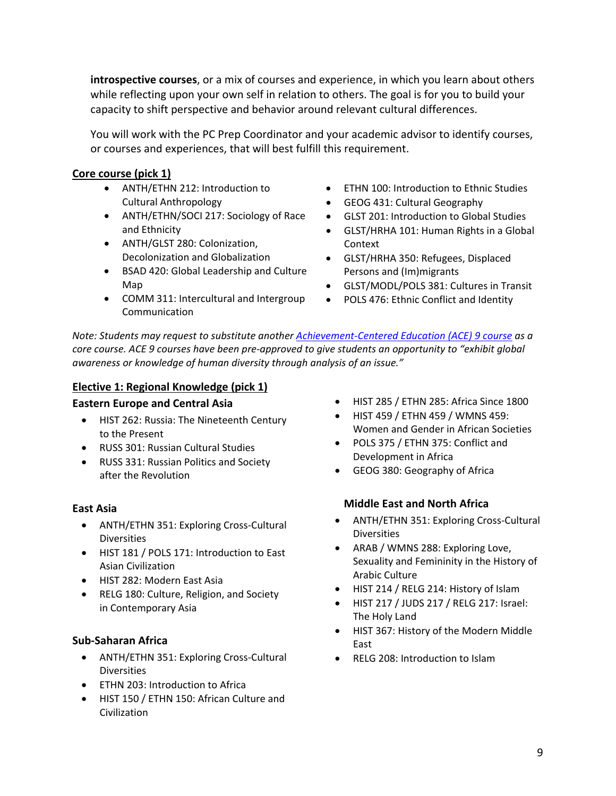**introspective courses**, or a mix of courses and experience, in which you learn about others while reflecting upon your own self in relation to others. The goal is for you to build your capacity to shift perspective and behavior around relevant cultural differences.

You will work with the PC Prep Coordinator and your academic advisor to identify courses, or courses and experiences, that will best fulfill this requirement.

#### **Core course (pick 1)**

- ANTH/ETHN 212: Introduction to Cultural Anthropology
- ANTH/ETHN/SOCI 217: Sociology of Race and Ethnicity
- ANTH/GLST 280: Colonization, Decolonization and Globalization
- BSAD 420: Global Leadership and Culture Map
- COMM 311: Intercultural and Intergroup Communication
- ETHN 100: Introduction to Ethnic Studies
- GEOG 431: Cultural Geography
- GLST 201: Introduction to Global Studies
- GLST/HRHA 101: Human Rights in a Global Context
- GLST/HRHA 350: Refugees, Displaced Persons and (Im)migrants
- GLST/MODL/POLS 381: Cultures in Transit
- POLS 476: Ethnic Conflict and Identity

*Note: Students may request to substitute anothe[r Achievement-Centered Education \(ACE\) 9 course](https://ace.unl.edu/courses/listing) as a core course. ACE 9 courses have been pre-approved to give students an opportunity to "exhibit global awareness or knowledge of human diversity through analysis of an issue."*

#### **Elective 1: Regional Knowledge (pick 1)**

#### **Eastern Europe and Central Asia**

- HIST 262: Russia: The Nineteenth Century to the Present
- RUSS 301: Russian Cultural Studies
- RUSS 331: Russian Politics and Society after the Revolution

#### **East Asia**

- ANTH/ETHN 351: Exploring Cross-Cultural **Diversities**
- HIST 181 / POLS 171: Introduction to East Asian Civilization
- HIST 282: Modern East Asia
- RELG 180: Culture, Religion, and Society in Contemporary Asia

#### **Sub-Saharan Africa**

- ANTH/ETHN 351: Exploring Cross-Cultural **Diversities**
- ETHN 203: Introduction to Africa
- HIST 150 / ETHN 150: African Culture and Civilization
- HIST 285 / ETHN 285: Africa Since 1800
- HIST 459 / ETHN 459 / WMNS 459: Women and Gender in African Societies
- POLS 375 / ETHN 375: Conflict and Development in Africa
- GEOG 380: Geography of Africa

#### **Middle East and North Africa**

- ANTH/ETHN 351: Exploring Cross-Cultural **Diversities**
- ARAB / WMNS 288: Exploring Love, Sexuality and Femininity in the History of Arabic Culture
- HIST 214 / RELG 214: History of Islam
- HIST 217 / JUDS 217 / RELG 217: Israel: The Holy Land
- HIST 367: History of the Modern Middle East
- RELG 208: Introduction to Islam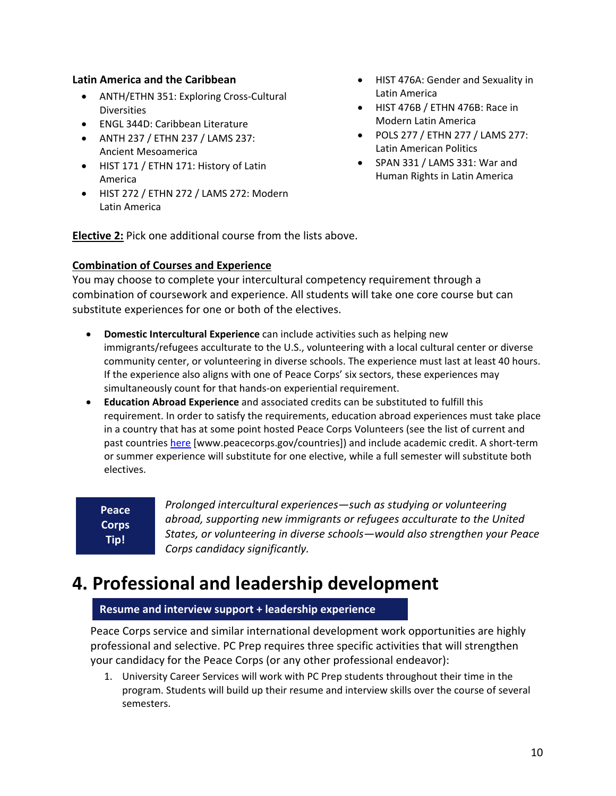#### **Latin America and the Caribbean**

- ANTH/ETHN 351: Exploring Cross-Cultural Diversities
- ENGL 344D: Caribbean Literature
- ANTH 237 / ETHN 237 / LAMS 237: Ancient Mesoamerica
- HIST 171 / ETHN 171: History of Latin America
- HIST 272 / ETHN 272 / LAMS 272: Modern Latin America
- HIST 476A: Gender and Sexuality in Latin America
- HIST 476B / ETHN 476B: Race in Modern Latin America
- POLS 277 / ETHN 277 / LAMS 277: Latin American Politics
- SPAN 331 / LAMS 331: War and Human Rights in Latin America

**Elective 2:** Pick one additional course from the lists above.

#### **Combination of Courses and Experience**

You may choose to complete your intercultural competency requirement through a combination of coursework and experience. All students will take one core course but can substitute experiences for one or both of the electives.

- **Domestic Intercultural Experience** can include activities such as helping new immigrants/refugees acculturate to the U.S., volunteering with a local cultural center or diverse community center, or volunteering in diverse schools. The experience must last at least 40 hours. If the experience also aligns with one of Peace Corps' six sectors, these experiences may simultaneously count for that hands-on experiential requirement.
- **Education Abroad Experience** and associated credits can be substituted to fulfill this requirement. In order to satisfy the requirements, education abroad experiences must take place in a country that has at some point hosted Peace Corps Volunteers (see the list of current and past countries [here](https://www.peacecorps.gov/countries/) [www.peacecorps.gov/countries]) and include academic credit. A short-term or summer experience will substitute for one elective, while a full semester will substitute both electives.

**Peace Corps Tip!**

*Prolonged intercultural experiences—such as studying or volunteering abroad, supporting new immigrants or refugees acculturate to the United States, or volunteering in diverse schools—would also strengthen your Peace Corps candidacy significantly.*

# **4. Professional and leadership development**

#### **Resume and interview support + leadership experience**

Peace Corps service and similar international development work opportunities are highly professional and selective. PC Prep requires three specific activities that will strengthen your candidacy for the Peace Corps (or any other professional endeavor):

1. University Career Services will work with PC Prep students throughout their time in the program. Students will build up their resume and interview skills over the course of several semesters.